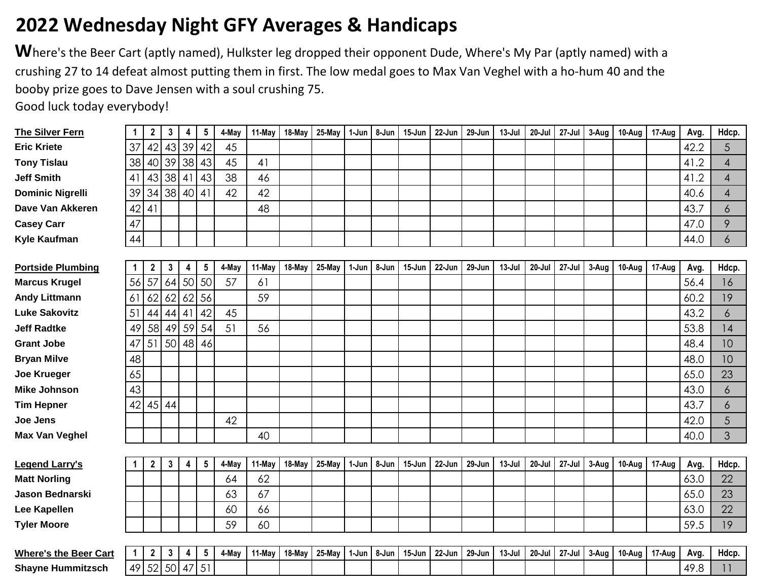## **2022 Wednesday Night GFY Averages & Handicaps**

Where's the Beer Cart (aptly named), Hulkster leg dropped their opponent Dude, Where's My Par (aptly named) with a crushing 27 to 14 defeat almost putting them in first. The low medal goes to Max Van Veghel with a ho-hum 40 and the booby prize goes to Dave Jensen with a soul crushing 75.

Good luck today everybody!

| <b>The Silver Fern</b>       | $\mathbf{1}$ | $\mathbf{2}$   | $\mathbf{3}$ | 4     | $5\phantom{.0}$ | 4-May | 11-May | 18-May | 25-May | 1-Jun | 8-Jun | 15-Jun | 22-Jun | 29-Jun | $13 -$ Jul | $20 -$ Jul | 27-Jul | 3-Aug | 10-Aug | 17-Aug | Avg. | Hdcp.       |
|------------------------------|--------------|----------------|--------------|-------|-----------------|-------|--------|--------|--------|-------|-------|--------|--------|--------|------------|------------|--------|-------|--------|--------|------|-------------|
| <b>Eric Kriete</b>           | 37           | 42             |              | 43 39 | 42              | 45    |        |        |        |       |       |        |        |        |            |            |        |       |        |        | 42.2 | 5           |
| <b>Tony Tislau</b>           | 38           | 40             | 39           | 38    | 43              | 45    | 41     |        |        |       |       |        |        |        |            |            |        |       |        |        | 41.2 | 4           |
| <b>Jeff Smith</b>            | 41           | 43             | 38           | 41    | 43              | 38    | 46     |        |        |       |       |        |        |        |            |            |        |       |        |        | 41.2 | 4           |
| <b>Dominic Nigrelli</b>      | 39           | 34             |              | 38 40 | 41              | 42    | 42     |        |        |       |       |        |        |        |            |            |        |       |        |        | 40.6 | 4           |
| Dave Van Akkeren             | 42           | 41             |              |       |                 |       | 48     |        |        |       |       |        |        |        |            |            |        |       |        |        | 43.7 | 6           |
| <b>Casey Carr</b>            | 47           |                |              |       |                 |       |        |        |        |       |       |        |        |        |            |            |        |       |        |        | 47.0 | 9           |
| Kyle Kaufman                 | 44           |                |              |       |                 |       |        |        |        |       |       |        |        |        |            |            |        |       |        |        | 44.0 | 6           |
|                              |              |                |              |       |                 |       |        |        |        |       |       |        |        |        |            |            |        |       |        |        |      |             |
| <b>Portside Plumbing</b>     | $\mathbf 1$  | 2              | $\mathbf{3}$ | 4     | 5               | 4-May | 11-May | 18-May | 25-May | 1-Jun | 8-Jun | 15-Jun | 22-Jun | 29-Jun | $13 -$ Jul | $20 -$ Jul | 27-Jul | 3-Aug | 10-Aug | 17-Aug | Avg. | Hdcp.       |
| <b>Marcus Krugel</b>         | 56           | 57             | 64           | 50    | 50              | 57    | 61     |        |        |       |       |        |        |        |            |            |        |       |        |        | 56.4 | 16          |
| <b>Andy Littmann</b>         | 61           | 62             | 62           | 62    | 56              |       | 59     |        |        |       |       |        |        |        |            |            |        |       |        |        | 60.2 | 19          |
| <b>Luke Sakovitz</b>         | 51           | 44             | 44           | 4     | 42              | 45    |        |        |        |       |       |        |        |        |            |            |        |       |        |        | 43.2 | 6           |
| <b>Jeff Radtke</b>           | 49           | 58             | 49           | 59    | 54              | 51    | 56     |        |        |       |       |        |        |        |            |            |        |       |        |        | 53.8 | 14          |
| <b>Grant Jobe</b>            | 47           | 51             | 50           | 48    | 46              |       |        |        |        |       |       |        |        |        |            |            |        |       |        |        | 48.4 | 10          |
| <b>Bryan Milve</b>           | 48           |                |              |       |                 |       |        |        |        |       |       |        |        |        |            |            |        |       |        |        | 48.0 | 10          |
| <b>Joe Krueger</b>           | 65           |                |              |       |                 |       |        |        |        |       |       |        |        |        |            |            |        |       |        |        | 65.0 | 23          |
| <b>Mike Johnson</b>          | 43           |                |              |       |                 |       |        |        |        |       |       |        |        |        |            |            |        |       |        |        | 43.0 | 6           |
| <b>Tim Hepner</b>            | 42           |                | $45$ 44      |       |                 |       |        |        |        |       |       |        |        |        |            |            |        |       |        |        | 43.7 | 6           |
| <b>Joe Jens</b>              |              |                |              |       |                 | 42    |        |        |        |       |       |        |        |        |            |            |        |       |        |        | 42.0 | 5           |
| <b>Max Van Veghel</b>        |              |                |              |       |                 |       | 40     |        |        |       |       |        |        |        |            |            |        |       |        |        | 40.0 | 3           |
|                              |              |                |              |       |                 |       |        |        |        |       |       |        |        |        |            |            |        |       |        |        |      |             |
| <b>Legend Larry's</b>        | 1            | $\overline{2}$ | $\mathbf{3}$ | 4     | $5\phantom{.0}$ | 4-May | 11-May | 18-May | 25-May | 1-Jun | 8-Jun | 15-Jun | 22-Jun | 29-Jun | $13-Jul$   | 20-Jul     | 27-Jul | 3-Aug | 10-Aug | 17-Aug | Avg. | Hdcp.       |
| <b>Matt Norling</b>          |              |                |              |       |                 | 64    | 62     |        |        |       |       |        |        |        |            |            |        |       |        |        | 63.0 | 22          |
| <b>Jason Bednarski</b>       |              |                |              |       |                 | 63    | 67     |        |        |       |       |        |        |        |            |            |        |       |        |        | 65.0 | 23          |
| Lee Kapellen                 |              |                |              |       |                 | 60    | 66     |        |        |       |       |        |        |        |            |            |        |       |        |        | 63.0 | 22          |
| <b>Tyler Moore</b>           |              |                |              |       |                 | 59    | 60     |        |        |       |       |        |        |        |            |            |        |       |        |        | 59.5 | 19          |
|                              |              |                |              |       |                 |       |        |        |        |       |       |        |        |        |            |            |        |       |        |        |      |             |
| <b>Where's the Beer Cart</b> | $\mathbf{1}$ | $\mathbf 2$    | $\mathbf{3}$ | 4     | 5               | 4-May | 11-May | 18-May | 25-May | 1-Jun | 8-Jun | 15-Jun | 22-Jun | 29-Jun | $13-Jul$   | 20-Jul     | 27-Jul | 3-Aug | 10-Aug | 17-Aug | Avg. | Hdcp.       |
| <b>Shayne Hummitzsch</b>     | 49           | 52             | $50$ 47      |       | 51              |       |        |        |        |       |       |        |        |        |            |            |        |       |        |        | 49.8 | $  \cdot  $ |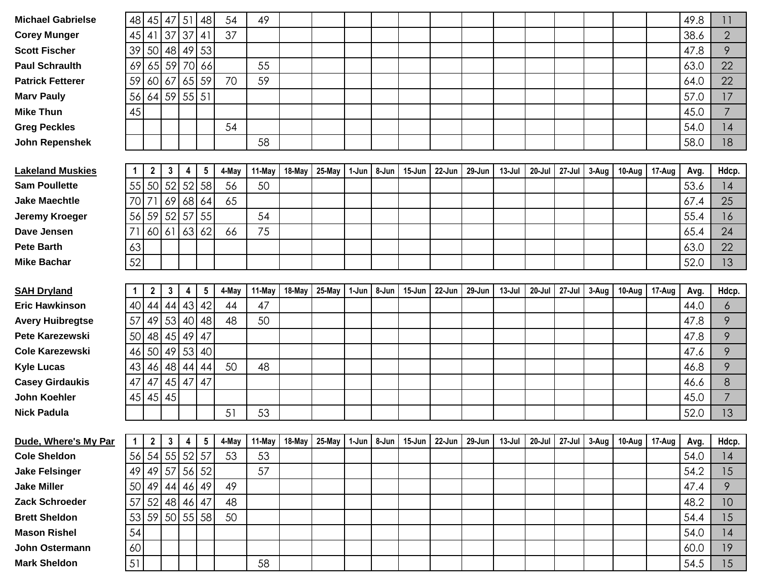| <b>Michael Gabrielse</b> | 48           | 45               | 47              | 51             | 48                      | 54    | 49                                                                                                                       |        |        |       |       |            |        |        |        |            |        |       |        |        | 49.8 | 11             |
|--------------------------|--------------|------------------|-----------------|----------------|-------------------------|-------|--------------------------------------------------------------------------------------------------------------------------|--------|--------|-------|-------|------------|--------|--------|--------|------------|--------|-------|--------|--------|------|----------------|
| <b>Corey Munger</b>      | 45           | 41               | 37              | 37             | 41                      | 37    |                                                                                                                          |        |        |       |       |            |        |        |        |            |        |       |        |        | 38.6 | $\overline{2}$ |
| <b>Scott Fischer</b>     | 39           |                  | 50 48           | 49             | 53                      |       |                                                                                                                          |        |        |       |       |            |        |        |        |            |        |       |        |        | 47.8 | 9              |
| <b>Paul Schraulth</b>    | 69           |                  | $65$ 59         | 70             | 66                      |       | 55                                                                                                                       |        |        |       |       |            |        |        |        |            |        |       |        |        | 63.0 | 22             |
| <b>Patrick Fetterer</b>  | 59           |                  | 60 67           | 65             | 59                      | 70    | 59                                                                                                                       |        |        |       |       |            |        |        |        |            |        |       |        |        | 64.0 | 22             |
| <b>Marv Pauly</b>        | 56           |                  | 64 59 55 51     |                |                         |       |                                                                                                                          |        |        |       |       |            |        |        |        |            |        |       |        |        | 57.0 | 17             |
| <b>Mike Thun</b>         | 45           |                  |                 |                |                         |       |                                                                                                                          |        |        |       |       |            |        |        |        |            |        |       |        |        | 45.0 | 7              |
| <b>Greg Peckles</b>      |              |                  |                 |                |                         | 54    |                                                                                                                          |        |        |       |       |            |        |        |        |            |        |       |        |        | 54.0 | 14             |
| <b>John Repenshek</b>    |              |                  |                 |                |                         |       | 58                                                                                                                       |        |        |       |       |            |        |        |        |            |        |       |        |        | 58.0 | 18             |
|                          |              |                  |                 |                |                         |       |                                                                                                                          |        |        |       |       |            |        |        |        |            |        |       |        |        |      |                |
| <b>Lakeland Muskies</b>  | 1            | $\boldsymbol{2}$ | $\mathbf{3}$    | 4              | $\sqrt{5}$              | 4-May | 11-May                                                                                                                   | 18-May | 25-May | 1-Jun | 8-Jun | $15 - Jun$ | 22-Jun | 29-Jun | 13-Jul | $20 -$ Jul | 27-Jul | 3-Aug | 10-Aug | 17-Aug | Avg. | Hdcp.          |
| <b>Sam Poullette</b>     | 55           |                  | 50 52           | 52             | 58                      | 56    | 50                                                                                                                       |        |        |       |       |            |        |        |        |            |        |       |        |        | 53.6 | 14             |
| <b>Jake Maechtle</b>     | 70           | 71               | 69              | 68             | 64                      | 65    |                                                                                                                          |        |        |       |       |            |        |        |        |            |        |       |        |        | 67.4 | 25             |
| Jeremy Kroeger           | 56           |                  | 59 52           | 57             | 55                      |       | 54                                                                                                                       |        |        |       |       |            |        |        |        |            |        |       |        |        | 55.4 | 16             |
| Dave Jensen              | 71           | 60 61            |                 | 63             | 62                      | 66    | 75                                                                                                                       |        |        |       |       |            |        |        |        |            |        |       |        |        | 65.4 | 24             |
| <b>Pete Barth</b>        | 63           |                  |                 |                |                         |       |                                                                                                                          |        |        |       |       |            |        |        |        |            |        |       |        |        | 63.0 | 22             |
| <b>Mike Bachar</b>       | 52           |                  |                 |                |                         |       |                                                                                                                          |        |        |       |       |            |        |        |        |            |        |       |        |        | 52.0 | 13             |
|                          |              |                  |                 |                |                         |       |                                                                                                                          |        |        |       |       |            |        |        |        |            |        |       |        |        |      |                |
| <b>SAH Dryland</b>       | 1            | $\mathbf{2}$     | 3               | 4              | $\sqrt{5}$              | 4-May | 11-May                                                                                                                   | 18-May | 25-May | 1-Jun | 8-Jun | 15-Jun     | 22-Jun | 29-Jun | 13-Jul | $20 -$ Jul | 27-Jul | 3-Aug | 10-Aug | 17-Aug | Avg. | Hdcp.          |
| <b>Eric Hawkinson</b>    | 40           |                  | 44 44 43        |                | 42                      | 44    | 47                                                                                                                       |        |        |       |       |            |        |        |        |            |        |       |        |        | 44.0 | 6              |
| <b>Avery Huibregtse</b>  | 57           |                  | 49 53           | 40             | 48                      | 48    | 50                                                                                                                       |        |        |       |       |            |        |        |        |            |        |       |        |        | 47.8 | 9              |
| <b>Pete Karezewski</b>   | 50           |                  | 48 45           | 49             | 47                      |       |                                                                                                                          |        |        |       |       |            |        |        |        |            |        |       |        |        | 47.8 | 9              |
| <b>Cole Karezewski</b>   | 46           | 50               | 49              | 53             | 40                      |       |                                                                                                                          |        |        |       |       |            |        |        |        |            |        |       |        |        | 47.6 | 9              |
| <b>Kyle Lucas</b>        | 43           |                  | 46 48           | 44             | 44                      | 50    | 48                                                                                                                       |        |        |       |       |            |        |        |        |            |        |       |        |        | 46.8 | 9              |
| <b>Casey Girdaukis</b>   | 47           | 47               |                 | $45 \mid 47$   | 47                      |       |                                                                                                                          |        |        |       |       |            |        |        |        |            |        |       |        |        | 46.6 | 8              |
| <b>John Koehler</b>      | 45           |                  | $45$ 45         |                |                         |       |                                                                                                                          |        |        |       |       |            |        |        |        |            |        |       |        |        | 45.0 | $\overline{7}$ |
| <b>Nick Padula</b>       |              |                  |                 |                |                         | 51    | 53                                                                                                                       |        |        |       |       |            |        |        |        |            |        |       |        |        | 52.0 | 13             |
|                          |              |                  |                 |                |                         |       |                                                                                                                          |        |        |       |       |            |        |        |        |            |        |       |        |        |      |                |
| Dude, Where's My Par     | $\mathbf{1}$ |                  | $2 \mid 3 \mid$ | $\overline{4}$ | $\overline{\mathbf{5}}$ | 4-May | 11-May   18-May   25-May   1-Jun   8-Jun   15-Jun   22-Jun   29-Jun   13-Jul   20-Jul   27-Jul   3-Aug   10-Aug   17-Aug |        |        |       |       |            |        |        |        |            |        |       |        |        | Avg. | Hdcp.          |
| <b>Cole Sheldon</b>      |              |                  | 56 54 55 52 57  |                |                         | 53    | 53                                                                                                                       |        |        |       |       |            |        |        |        |            |        |       |        |        | 54.0 | 4              |
| <b>Jake Felsinger</b>    |              |                  |                 |                | 49 49 57 56 52          |       | 57                                                                                                                       |        |        |       |       |            |        |        |        |            |        |       |        |        | 54.2 | 15             |
| <b>Jake Miller</b>       | 50           |                  | 49 44 46 49     |                |                         | 49    |                                                                                                                          |        |        |       |       |            |        |        |        |            |        |       |        |        | 47.4 | 9              |
| Zack Schroeder           | 57           |                  | 52 48 46 47     |                |                         | 48    |                                                                                                                          |        |        |       |       |            |        |        |        |            |        |       |        |        | 48.2 | 10             |
| <b>Brett Sheldon</b>     |              |                  |                 |                | 53 59 50 55 58          | 50    |                                                                                                                          |        |        |       |       |            |        |        |        |            |        |       |        |        | 54.4 | 15             |
| <b>Mason Rishel</b>      | 54           |                  |                 |                |                         |       |                                                                                                                          |        |        |       |       |            |        |        |        |            |        |       |        |        | 54.0 | 4              |
| John Ostermann           | 60           |                  |                 |                |                         |       |                                                                                                                          |        |        |       |       |            |        |        |        |            |        |       |        |        | 60.0 | 19             |
| <b>Mark Sheldon</b>      | 51           |                  |                 |                |                         |       | 58                                                                                                                       |        |        |       |       |            |        |        |        |            |        |       |        |        | 54.5 | 15             |